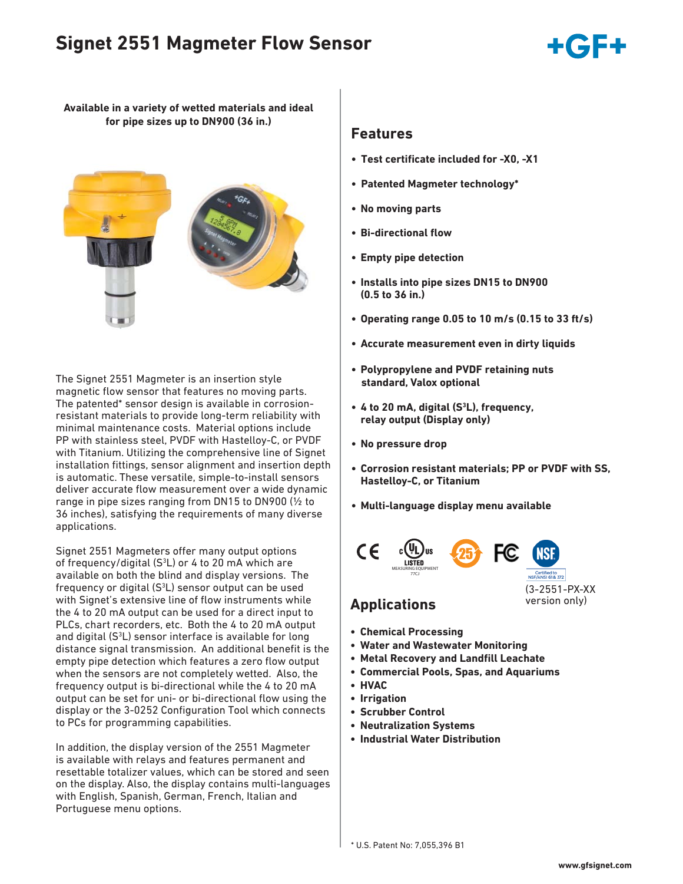# **Signet 2551 Magmeter Flow Sensor**



**Available in a variety of wetted materials and ideal for pipe sizes up to DN900 (36 in.)** 



The Signet 2551 Magmeter is an insertion style magnetic flow sensor that features no moving parts. The patented\* sensor design is available in corrosionresistant materials to provide long-term reliability with minimal maintenance costs. Material options include PP with stainless steel, PVDF with Hastelloy-C, or PVDF with Titanium. Utilizing the comprehensive line of Signet installation fittings, sensor alignment and insertion depth is automatic. These versatile, simple-to-install sensors deliver accurate flow measurement over a wide dynamic range in pipe sizes ranging from DN15 to DN900 (½ to 36 inches), satisfying the requirements of many diverse applications.

Signet 2551 Magmeters offer many output options of frequency/digital  $(S^3L)$  or 4 to 20 mA which are available on both the blind and display versions. The frequency or digital  $(S^3L)$  sensor output can be used with Signet's extensive line of flow instruments while the 4 to 20 mA output can be used for a direct input to PLCs, chart recorders, etc. Both the 4 to 20 mA output and digital (S<sup>3</sup>L) sensor interface is available for long distance signal transmission. An additional benefit is the empty pipe detection which features a zero flow output when the sensors are not completely wetted. Also, the frequency output is bi-directional while the 4 to 20 mA output can be set for uni- or bi-directional flow using the display or the 3-0252 Configuration Tool which connects to PCs for programming capabilities.

In addition, the display version of the 2551 Magmeter is available with relays and features permanent and resettable totalizer values, which can be stored and seen on the display. Also, the display contains multi-languages with English, Spanish, German, French, Italian and Portuguese menu options.

#### **Features**

- Test certificate included for -X0, -X1
- **Patented Magmeter technology\***
- **No moving parts**
- **Bi-directional flow**
- **Empty pipe detection**
- **Installs into pipe sizes DN15 to DN900 (0.5 to 36 in.)**
- **Operating range 0.05 to 10 m/s (0.15 to 33 ft/s)**
- **Accurate measurement even in dirty liquids**
- **Polypropylene and PVDF retaining nuts standard, Valox optional**
- **4 to 20 mA, digital (S3 L), frequency, relay output (Display only)**
- **No pressure drop**
- **Corrosion resistant materials; PP or PVDF with SS, Hastelloy-C, or Titanium**
- **Multi-language display menu available**



- **Chemical Processing**
- **Water and Wastewater Monitoring**
- **Metal Recovery and Landfill Leachate**
- **Commercial Pools, Spas, and Aquariums**
- **HVAC**
- **Irrigation**
- **Scrubber Control**
- **Neutralization Systems**
- **Industrial Water Distribution**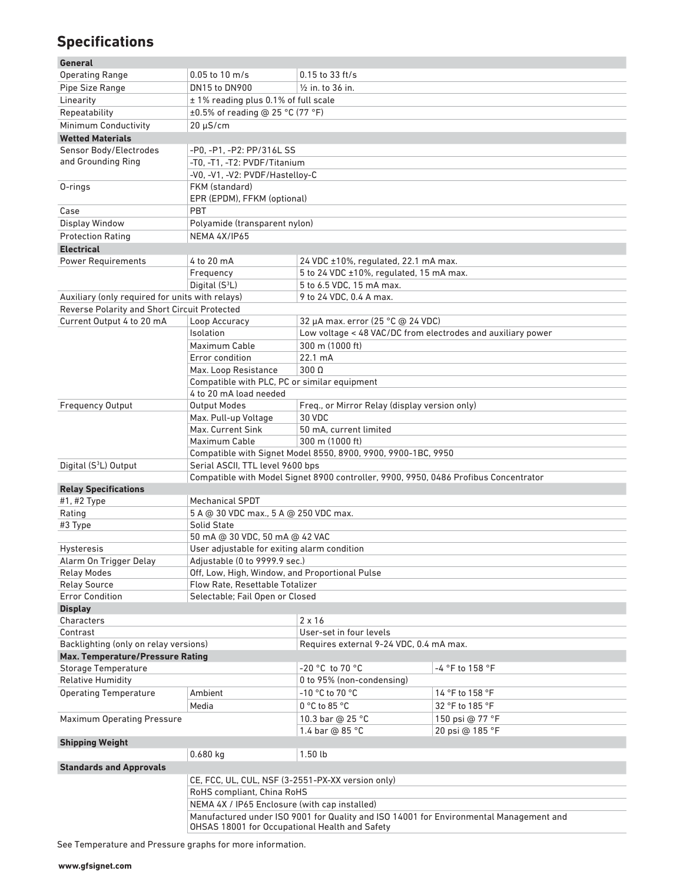## **Specifi cations**

#### **General** Operating Range  $0.05$  to 10 m/s  $0.15$  to 33 ft/s Pipe Size Range DN15 to DN900 1/2 in. to 36 in. Linearity  $\pm 1\%$  reading plus 0.1% of full scale Repeatability  $\pm 0.5\%$  of reading @ 25 °C (77 °F) Minimum Conductivity 20 μS/cm **Wetted Materials** Sensor Body/Electrodes and Grounding Ring -P0, -P1, -P2: PP/316L SS -T0, -T1, -T2: PVDF/Titanium -V0, -V1, -V2: PVDF/Hastelloy-C O-rings FKM (standard) EPR (EPDM), FFKM (optional) Case PBT Display Window Polyamide (transparent nylon) Protection Rating NEMA 4X/IP65 **Electrical** Power Requirements  $4$  to 20 mA 24 VDC ±10%, regulated, 22.1 mA max. Frequency 5 to 24 VDC ±10%, regulated, 15 mA max. Digital (S<sup>3</sup>L) L) 5 to 6.5 VDC, 15 mA max. Auxiliary (only required for units with relays) 9 to 24 VDC, 0.4 A max. Reverse Polarity and Short Circuit Protected Current Output 4 to 20 mA Loop Accuracy 32 μA max. error (25 °C @ 24 VDC) Isolation Low voltage < 48 VAC/DC from electrodes and auxiliary power Maximum Cable 300 m (1000 ft) Error condition 22.1 mA Max. Loop Resistance 300 Ω Compatible with PLC, PC or similar equipment 4 to 20 mA load needed Frequency Output Output Modes Freq., or Mirror Relay (display version only) Max. Pull-up Voltage | 30 VDC Max. Current Sink 50 mA, current limited Maximum Cable 300 m (1000 ft) Compatible with Signet Model 8550, 8900, 9900, 9900-1BC, 9950 Digital (S<sup>3</sup>L) Output Serial ASCII, TTL level 9600 bps Compatible with Model Signet 8900 controller, 9900, 9950, 0486 Profibus Concentrator **Relay Specifications** #1, #2 Type Mechanical SPDT Rating 5 A @ 30 VDC max., 5 A @ 250 VDC max. #3 Type Solid State 50 mA @ 30 VDC, 50 mA @ 42 VAC Hysteresis User adjustable for exiting alarm condition Alarm On Trigger Delay Adjustable (0 to 9999.9 sec.) Relay Modes **Off, Low, High, Window, and Proportional Pulse** Relay Source Flow Rate, Resettable Totalizer Error Condition Selectable; Fail Open or Closed **Display** Characters 2 x 16 Contrast User-set in four levels Backlighting (only on relay versions) Requires external 9-24 VDC, 0.4 mA max. **Max. Temperature/Pressure Rating** Storage Temperature  $-20$  °C to 70 °C  $-4$  °F to 158 °F Relative Humidity **No. 2018** 2018 10 to 95% (non-condensing) Operating Temperature  $\begin{array}{r} \text{Ambient} \\ \text{Ambient} \end{array}$  -10 °C to 70 °C 14 °F to 158 °F Media  $\begin{array}{c|c} \vert & 0 \text{°C to 85 °C} \end{array}$  32 °F to 185 °F Maximum Operating Pressure 10.3 bar @ 25 °C 150 psi @ 77 °F 1.4 bar @ 85 °C 20 psi @ 185 °F **Shipping Weight** 0.680 kg 1.50 lb **Standards and Approvals** CE, FCC, UL, CUL, NSF (3-2551-PX-XX version only) RoHS compliant, China RoHS NEMA 4X / IP65 Enclosure (with cap installed) Manufactured under ISO 9001 for Quality and ISO 14001 for Environmental Management and OHSAS 18001 for Occupational Health and Safety

See Temperature and Pressure graphs for more information.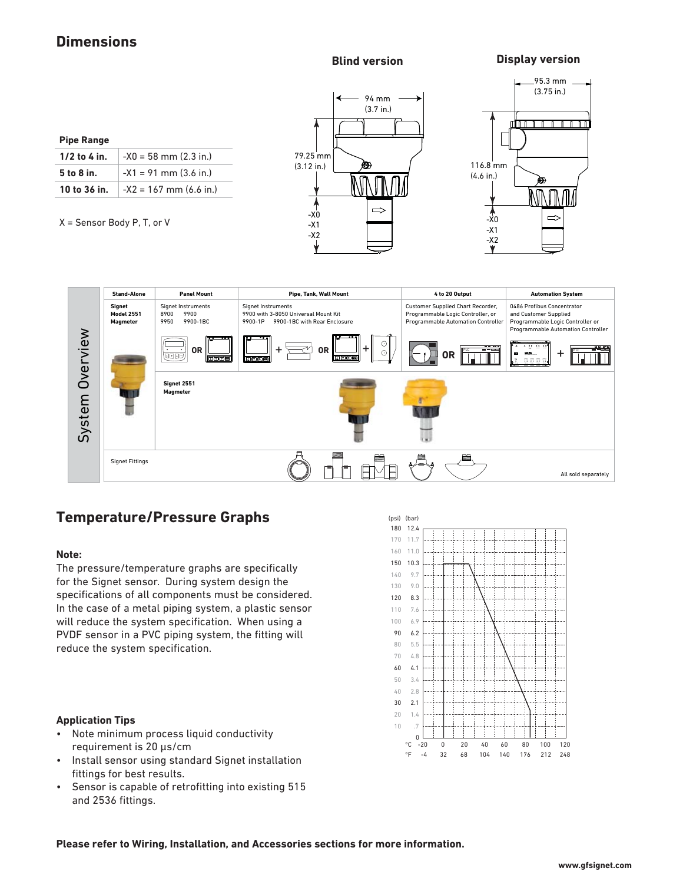### **Dimensions**

**Blind version Display version**

| <b>Pipe Range</b> |                            |  |  |  |
|-------------------|----------------------------|--|--|--|
| 1/2 to 4 in.      | $-X0 = 58$ mm $(2.3$ in.)  |  |  |  |
| 5 to 8 in.        | $-X1 = 91$ mm $(3.6$ in.)  |  |  |  |
| 10 to 36 in.      | $-X2 = 167$ mm $(6.6$ in.) |  |  |  |
|                   |                            |  |  |  |

X = Sensor Body P, T, or V







## **Temperature/Pressure Graphs**

#### **Note:**

The pressure/temperature graphs are specifically for the Signet sensor. During system design the specifications of all components must be considered. In the case of a metal piping system, a plastic sensor will reduce the system specification. When using a PVDF sensor in a PVC piping system, the fitting will reduce the system specification.

#### **Application Tips**

- Note minimum process liquid conductivity requirement is 20 μs/cm
- Install sensor using standard Signet installation fittings for best results.
- Sensor is capable of retrofitting into existing 515 and 2536 fittings.



**Please refer to Wiring, Installation, and Accessories sections for more information.**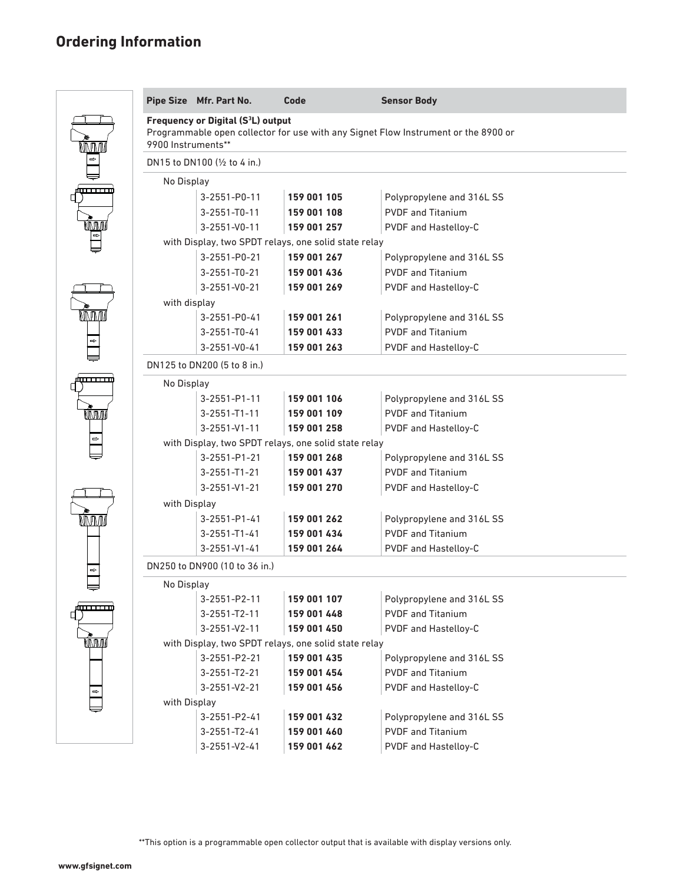# **Ordering Information**

|                       | Pipe Size Mfr. Part No.                                                                                                                                    | Code        | <b>Sensor Body</b>        |  |  |  |
|-----------------------|------------------------------------------------------------------------------------------------------------------------------------------------------------|-------------|---------------------------|--|--|--|
| <b>MMM</b>            | Frequency or Digital (S <sup>3</sup> L) output<br>Programmable open collector for use with any Signet Flow Instrument or the 8900 or<br>9900 Instruments** |             |                           |  |  |  |
| $\Rightarrow$         | DN15 to DN100 (1/2 to 4 in.)                                                                                                                               |             |                           |  |  |  |
| ╤                     | No Display                                                                                                                                                 |             |                           |  |  |  |
| فستستنشأ              | 3-2551-P0-11                                                                                                                                               | 159 001 105 | Polypropylene and 316L SS |  |  |  |
|                       | $3 - 2551 - T0 - 11$                                                                                                                                       | 159 001 108 | <b>PVDF and Titanium</b>  |  |  |  |
| ŃMM                   | $3 - 2551 - V0 - 11$                                                                                                                                       | 159 001 257 | PVDF and Hastelloy-C      |  |  |  |
| $\boxed{\phantom{1}}$ | with Display, two SPDT relays, one solid state relay                                                                                                       |             |                           |  |  |  |
|                       | 3-2551-P0-21                                                                                                                                               | 159 001 267 | Polypropylene and 316L SS |  |  |  |
|                       | $3 - 2551 - T0 - 21$                                                                                                                                       | 159 001 436 | <b>PVDF and Titanium</b>  |  |  |  |
|                       | $3 - 2551 - V0 - 21$                                                                                                                                       | 159 001 269 | PVDF and Hastelloy-C      |  |  |  |
|                       | with display                                                                                                                                               |             |                           |  |  |  |
| <b>MMM</b>            | 3-2551-P0-41                                                                                                                                               | 159 001 261 | Polypropylene and 316L SS |  |  |  |
|                       | $3 - 2551 - T0 - 41$                                                                                                                                       | 159 001 433 | <b>PVDF and Titanium</b>  |  |  |  |
| $\Rightarrow$         | 3-2551-V0-41                                                                                                                                               | 159 001 263 | PVDF and Hastelloy-C      |  |  |  |
|                       | DN125 to DN200 (5 to 8 in.)                                                                                                                                |             |                           |  |  |  |
| <del>(uuu uu</del>    | No Display                                                                                                                                                 |             |                           |  |  |  |
|                       | $3 - 2551 - P1 - 11$                                                                                                                                       | 159 001 106 | Polypropylene and 316L SS |  |  |  |
| <b>MMI</b>            | $3 - 2551 - T1 - 11$                                                                                                                                       | 159 001 109 | <b>PVDF and Titanium</b>  |  |  |  |
|                       | $3 - 2551 - V1 - 11$                                                                                                                                       | 159 001 258 | PVDF and Hastelloy-C      |  |  |  |
| $\Rightarrow$         | with Display, two SPDT relays, one solid state relay                                                                                                       |             |                           |  |  |  |
|                       | $3 - 2551 - P1 - 21$                                                                                                                                       | 159 001 268 | Polypropylene and 316L SS |  |  |  |
|                       | $3 - 2551 - T1 - 21$                                                                                                                                       | 159 001 437 | <b>PVDF and Titanium</b>  |  |  |  |
|                       | $3 - 2551 - V1 - 21$                                                                                                                                       | 159 001 270 | PVDF and Hastelloy-C      |  |  |  |
|                       | with Display                                                                                                                                               |             |                           |  |  |  |
| MMM                   | $3 - 2551 - P1 - 41$                                                                                                                                       | 159 001 262 | Polypropylene and 316L SS |  |  |  |
|                       | $3 - 2551 - T1 - 41$                                                                                                                                       | 159 001 434 | <b>PVDF and Titanium</b>  |  |  |  |
|                       | $3 - 2551 - V1 - 41$                                                                                                                                       | 159 001 264 | PVDF and Hastelloy-C      |  |  |  |
| $\Rightarrow$         | DN250 to DN900 (10 to 36 in.)                                                                                                                              |             |                           |  |  |  |
|                       | No Display                                                                                                                                                 |             |                           |  |  |  |
|                       | 3-2551-P2-11                                                                                                                                               | 159 001 107 | Polypropylene and 316L SS |  |  |  |
| سسس                   | $3 - 2551 - T2 - 11$                                                                                                                                       | 159 001 448 | <b>PVDF</b> and Titanium  |  |  |  |
|                       | 3-2551-V2-11                                                                                                                                               | 159 001 450 | PVDF and Hastelloy-C      |  |  |  |
| <b>NNMM</b>           | with Display, two SPDT relays, one solid state relay                                                                                                       |             |                           |  |  |  |
|                       | 3-2551-P2-21                                                                                                                                               | 159 001 435 | Polypropylene and 316L SS |  |  |  |
|                       | 3-2551-T2-21                                                                                                                                               | 159 001 454 | <b>PVDF</b> and Titanium  |  |  |  |
| $\Rightarrow$         | 3-2551-V2-21                                                                                                                                               | 159 001 456 | PVDF and Hastelloy-C      |  |  |  |
|                       | with Display                                                                                                                                               |             |                           |  |  |  |
|                       | 3-2551-P2-41                                                                                                                                               | 159 001 432 | Polypropylene and 316L SS |  |  |  |
|                       | 3-2551-T2-41                                                                                                                                               | 159 001 460 | <b>PVDF</b> and Titanium  |  |  |  |
|                       | 3-2551-V2-41                                                                                                                                               | 159 001 462 | PVDF and Hastelloy-C      |  |  |  |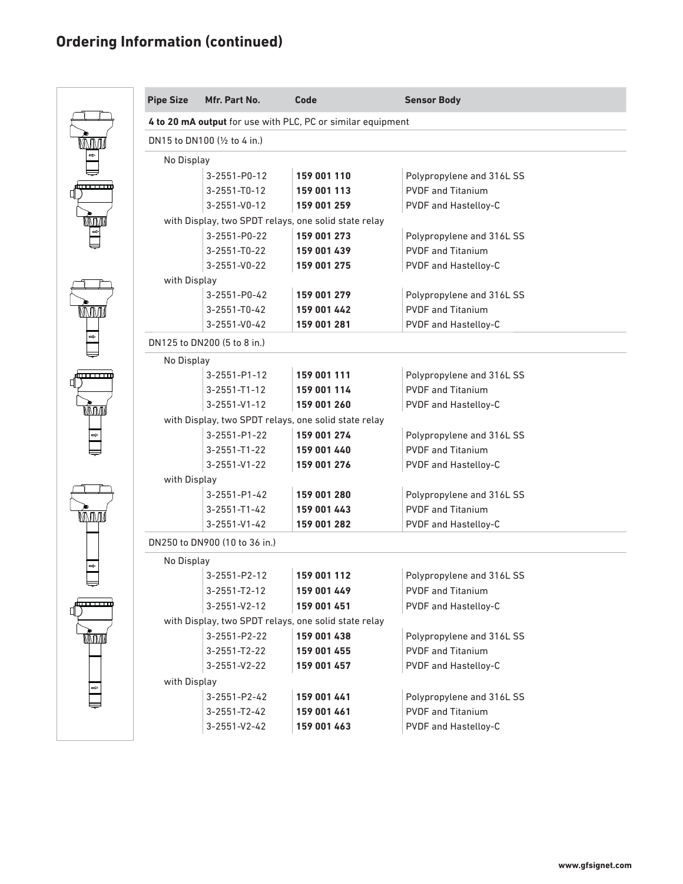# **Ordering Information (continued)**

|               | <b>Pipe Size</b>                                                            | Mfr. Part No.                                | Code        | <b>Sensor Body</b>        |  |  |
|---------------|-----------------------------------------------------------------------------|----------------------------------------------|-------------|---------------------------|--|--|
|               | 4 to 20 mA output for use with PLC, PC or similar equipment                 |                                              |             |                           |  |  |
| WN∏N∏         | DN15 to DN100 ( $\frac{1}{2}$ to 4 in.)                                     |                                              |             |                           |  |  |
|               | No Display                                                                  |                                              |             |                           |  |  |
|               |                                                                             | 3-2551-P0-12                                 | 159 001 110 | Polypropylene and 316L SS |  |  |
| ستستنق        |                                                                             | $3 - 2551 - T0 - 12$                         | 159 001 113 | <b>PVDF</b> and Titanium  |  |  |
|               |                                                                             | 3-2551-V0-12                                 | 159 001 259 | PVDF and Hastelloy-C      |  |  |
| M             | with Display, two SPDT relays, one solid state relay                        |                                              |             |                           |  |  |
|               |                                                                             | 3-2551-P0-22                                 | 159 001 273 | Polypropylene and 316L SS |  |  |
|               |                                                                             | $3 - 2551 - T0 - 22$                         | 159 001 439 | <b>PVDF and Titanium</b>  |  |  |
|               |                                                                             | 3-2551-V0-22                                 | 159 001 275 | PVDF and Hastelloy-C      |  |  |
|               | with Display                                                                |                                              |             |                           |  |  |
|               |                                                                             | 3-2551-P0-42                                 | 159 001 279 | Polypropylene and 316L SS |  |  |
| MMM.          |                                                                             | $3 - 2551 - T0 - 42$                         | 159 001 442 | <b>PVDF and Titanium</b>  |  |  |
|               |                                                                             | $3 - 2551 - V0 - 42$                         | 159 001 281 | PVDF and Hastelloy-C      |  |  |
|               | DN125 to DN200 (5 to 8 in.)                                                 |                                              |             |                           |  |  |
|               | No Display                                                                  |                                              |             |                           |  |  |
| سسسا          |                                                                             | $3 - 2551 - P1 - 12$                         | 159 001 111 | Polypropylene and 316L SS |  |  |
|               |                                                                             | $3 - 2551 - T1 - 12$                         | 159 001 114 | <b>PVDF and Titanium</b>  |  |  |
| <b>MMM</b>    |                                                                             | $3 - 2551 - V1 - 12$                         | 159 001 260 | PVDF and Hastelloy-C      |  |  |
|               | with Display, two SPDT relays, one solid state relay                        |                                              |             |                           |  |  |
| $\Rightarrow$ |                                                                             | $3 - 2551 - P1 - 22$                         | 159 001 274 | Polypropylene and 316L SS |  |  |
|               |                                                                             | $3 - 2551 - T1 - 22$                         | 159 001 440 | <b>PVDF and Titanium</b>  |  |  |
|               | $3 - 2551 - V1 - 22$<br>159 001 276<br>PVDF and Hastelloy-C<br>with Display |                                              |             |                           |  |  |
|               |                                                                             |                                              |             |                           |  |  |
|               |                                                                             | $3 - 2551 - P1 - 42$                         | 159 001 280 | Polypropylene and 316L SS |  |  |
|               |                                                                             | $3 - 2551 - T1 - 42$<br>$3 - 2551 - V1 - 42$ | 159 001 443 | <b>PVDF and Titanium</b>  |  |  |
|               | PVDF and Hastelloy-C<br>159 001 282<br>DN250 to DN900 (10 to 36 in.)        |                                              |             |                           |  |  |
|               |                                                                             |                                              |             |                           |  |  |
|               | No Display                                                                  |                                              |             |                           |  |  |
|               |                                                                             | $3 - 2551 - P2 - 12$                         | 159 001 112 | Polypropylene and 316L SS |  |  |
| daan araw     |                                                                             | 3-2551-T2-12                                 | 159 001 449 | <b>PVDF</b> and Titanium  |  |  |
|               |                                                                             | $3 - 2551 - V2 - 12$                         | 159 001 451 | PVDF and Hastelloy-C      |  |  |
|               | with Display, two SPDT relays, one solid state relay                        |                                              |             |                           |  |  |
| MMM           |                                                                             | 3-2551-P2-22                                 | 159 001 438 | Polypropylene and 316L SS |  |  |
|               |                                                                             | 3-2551-T2-22                                 | 159 001 455 | <b>PVDF</b> and Titanium  |  |  |
|               |                                                                             | 3-2551-V2-22                                 | 159 001 457 | PVDF and Hastelloy-C      |  |  |
| $\Rightarrow$ | with Display                                                                |                                              |             |                           |  |  |
|               |                                                                             | 3-2551-P2-42                                 | 159 001 441 | Polypropylene and 316L SS |  |  |
|               |                                                                             | 3-2551-T2-42                                 | 159 001 461 | <b>PVDF</b> and Titanium  |  |  |
|               |                                                                             | 3-2551-V2-42                                 | 159 001 463 | PVDF and Hastelloy-C      |  |  |